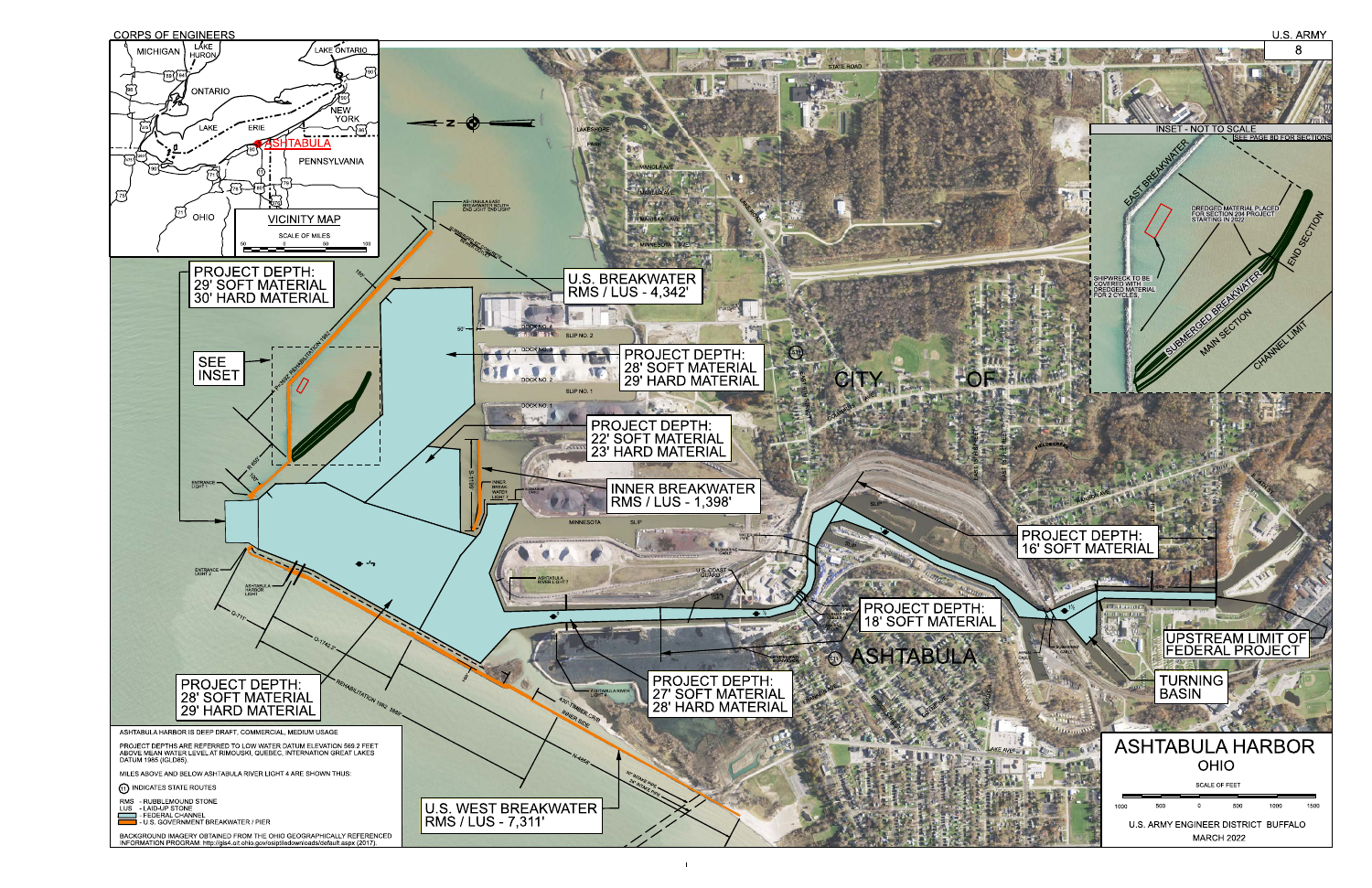